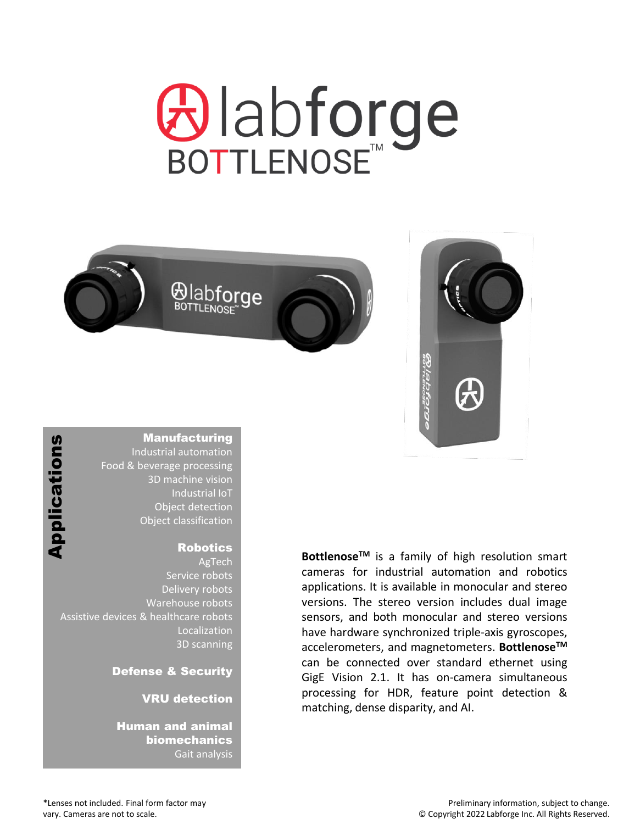# **⊕labforge**





### **Manufacturing**

Industrial automation Food & beverage processing 3D machine vision Industrial IoT Object detection Object classification

### Robotics

AgTech Service robots Delivery robots Warehouse robots Assistive devices & healthcare robots Localization 3D scanning Ma<br>
Indus<br>
Food & beve<br>
3I<br>
Cameras Conditions<br>
Cameras are not to scale.<br>
Thumar<br>
Pefens<br>
VR<br>
Humar<br>
bi<br>
Pefens<br>
Cameras are not to scale.

Defense & Security

### VRU detection

Human and animal biomechanics Gait analysis

**BottlenoseTM** is a family of high resolution smart cameras for industrial automation and robotics applications. It is available in monocular and stereo versions. The stereo version includes dual image sensors, and both monocular and stereo versions have hardware synchronized triple-axis gyroscopes, accelerometers, and magnetometers. **BottlenoseTM** can be connected over standard ethernet using GigE Vision 2.1. It has on-camera simultaneous processing for HDR, feature point detection & matching, dense disparity, and AI.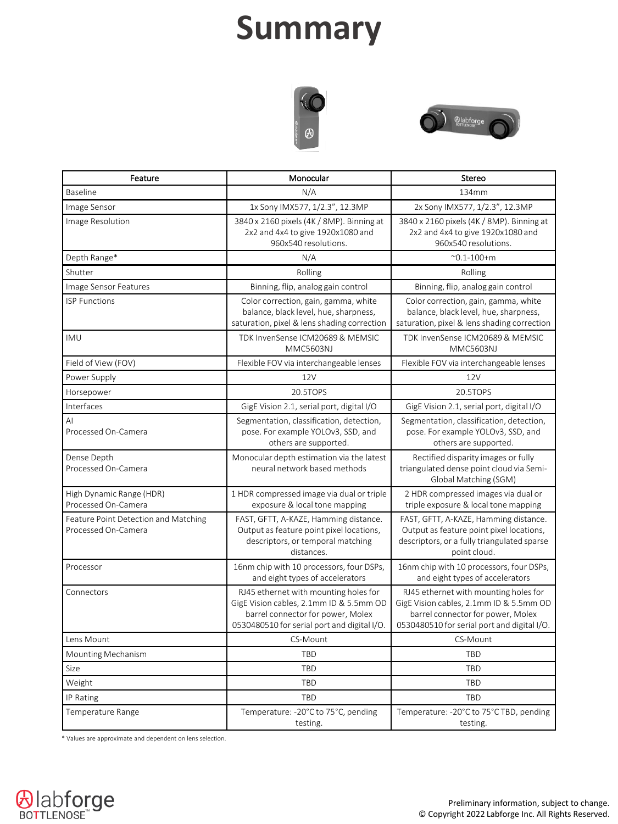# **Summary**





| Feature                                                     | Monocular                                                                                                                                                            | Stereo                                                                                                                                                               |
|-------------------------------------------------------------|----------------------------------------------------------------------------------------------------------------------------------------------------------------------|----------------------------------------------------------------------------------------------------------------------------------------------------------------------|
| <b>Baseline</b>                                             | N/A                                                                                                                                                                  | 134mm                                                                                                                                                                |
| Image Sensor                                                | 1x Sony IMX577, 1/2.3", 12.3MP                                                                                                                                       | 2x Sony IMX577, 1/2.3", 12.3MP                                                                                                                                       |
| Image Resolution                                            | 3840 x 2160 pixels (4K / 8MP). Binning at<br>2x2 and 4x4 to give 1920x1080 and<br>960x540 resolutions.                                                               | 3840 x 2160 pixels (4K / 8MP). Binning at<br>2x2 and 4x4 to give 1920x1080 and<br>960x540 resolutions.                                                               |
| Depth Range*                                                | N/A                                                                                                                                                                  | $^{\sim}$ 0.1-100+m                                                                                                                                                  |
| Shutter                                                     | Rolling                                                                                                                                                              | Rolling                                                                                                                                                              |
| Image Sensor Features                                       | Binning, flip, analog gain control                                                                                                                                   | Binning, flip, analog gain control                                                                                                                                   |
| <b>ISP Functions</b>                                        | Color correction, gain, gamma, white<br>balance, black level, hue, sharpness,<br>saturation, pixel & lens shading correction                                         | Color correction, gain, gamma, white<br>balance, black level, hue, sharpness,<br>saturation, pixel & lens shading correction                                         |
| <b>IMU</b>                                                  | TDK InvenSense ICM20689 & MEMSIC<br><b>MMC5603NJ</b>                                                                                                                 | TDK InvenSense ICM20689 & MEMSIC<br><b>MMC5603NJ</b>                                                                                                                 |
| Field of View (FOV)                                         | Flexible FOV via interchangeable lenses                                                                                                                              | Flexible FOV via interchangeable lenses                                                                                                                              |
| Power Supply                                                | 12V                                                                                                                                                                  | 12V                                                                                                                                                                  |
| Horsepower                                                  | 20.5TOPS                                                                                                                                                             | 20.5TOPS                                                                                                                                                             |
| Interfaces                                                  | GigE Vision 2.1, serial port, digital I/O                                                                                                                            | GigE Vision 2.1, serial port, digital I/O                                                                                                                            |
| AI<br>Processed On-Camera                                   | Segmentation, classification, detection,<br>pose. For example YOLOv3, SSD, and<br>others are supported.                                                              | Segmentation, classification, detection,<br>pose. For example YOLOv3, SSD, and<br>others are supported.                                                              |
| Dense Depth<br>Processed On-Camera                          | Monocular depth estimation via the latest<br>neural network based methods                                                                                            | Rectified disparity images or fully<br>triangulated dense point cloud via Semi-<br>Global Matching (SGM)                                                             |
| High Dynamic Range (HDR)<br>Processed On-Camera             | 1 HDR compressed image via dual or triple<br>exposure & local tone mapping                                                                                           | 2 HDR compressed images via dual or<br>triple exposure & local tone mapping                                                                                          |
| Feature Point Detection and Matching<br>Processed On-Camera | FAST, GFTT, A-KAZE, Hamming distance.<br>Output as feature point pixel locations,<br>descriptors, or temporal matching<br>distances.                                 | FAST, GFTT, A-KAZE, Hamming distance.<br>Output as feature point pixel locations,<br>descriptors, or a fully triangulated sparse<br>point cloud.                     |
| Processor                                                   | 16nm chip with 10 processors, four DSPs,<br>and eight types of accelerators                                                                                          | 16nm chip with 10 processors, four DSPs,<br>and eight types of accelerators                                                                                          |
| Connectors                                                  | RJ45 ethernet with mounting holes for<br>GigE Vision cables, 2.1mm ID & 5.5mm OD<br>barrel connector for power, Molex<br>0530480510 for serial port and digital I/O. | RJ45 ethernet with mounting holes for<br>GigE Vision cables, 2.1mm ID & 5.5mm OD<br>barrel connector for power, Molex<br>0530480510 for serial port and digital I/O. |
| Lens Mount                                                  | CS-Mount                                                                                                                                                             | CS-Mount                                                                                                                                                             |
| Mounting Mechanism                                          | <b>TBD</b>                                                                                                                                                           | <b>TBD</b>                                                                                                                                                           |
| Size                                                        | <b>TBD</b>                                                                                                                                                           | <b>TBD</b>                                                                                                                                                           |
| Weight                                                      | <b>TBD</b>                                                                                                                                                           | <b>TBD</b>                                                                                                                                                           |
| IP Rating                                                   | <b>TBD</b>                                                                                                                                                           | <b>TBD</b>                                                                                                                                                           |
| Temperature Range                                           | Temperature: -20°C to 75°C, pending<br>testing.                                                                                                                      | Temperature: -20°C to 75°C TBD, pending<br>testing.                                                                                                                  |

\* Values are approximate and dependent on lens selection.

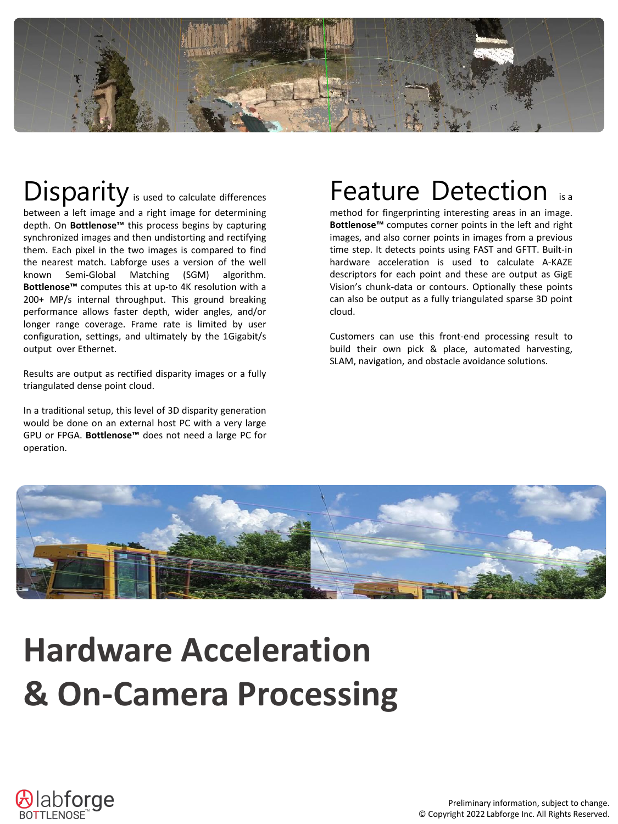

# Disparity is used to calculate differences

between a left image and a right image for determining depth. On **Bottlenose™** this process begins by capturing synchronized images and then undistorting and rectifying them. Each pixel in the two images is compared to find the nearest match. Labforge uses a version of the well known Semi-Global Matching (SGM) algorithm. **Bottlenose™** computes this at up-to 4K resolution with a 200+ MP/s internal throughput. This ground breaking performance allows faster depth, wider angles, and/or longer range coverage. Frame rate is limited by user configuration, settings, and ultimately by the 1Gigabit/s output over Ethernet.

Results are output as rectified disparity images or a fully triangulated dense point cloud.

In a traditional setup, this level of 3D disparity generation would be done on an external host PC with a very large GPU or FPGA. **Bottlenose™** does not need a large PC for operation.

## **Feature Detection**

method for fingerprinting interesting areas in an image. **Bottlenose™** computes corner points in the left and right images, and also corner points in images from a previous time step. It detects points using FAST and GFTT. Built-in hardware acceleration is used to calculate A-KAZE descriptors for each point and these are output as GigE Vision's chunk-data or contours. Optionally these points can also be output as a fully triangulated sparse 3D point cloud.

Customers can use this front-end processing result to build their own pick & place, automated harvesting, SLAM, navigation, and obstacle avoidance solutions.



# **Hardware Acceleration & On-Camera Processing**

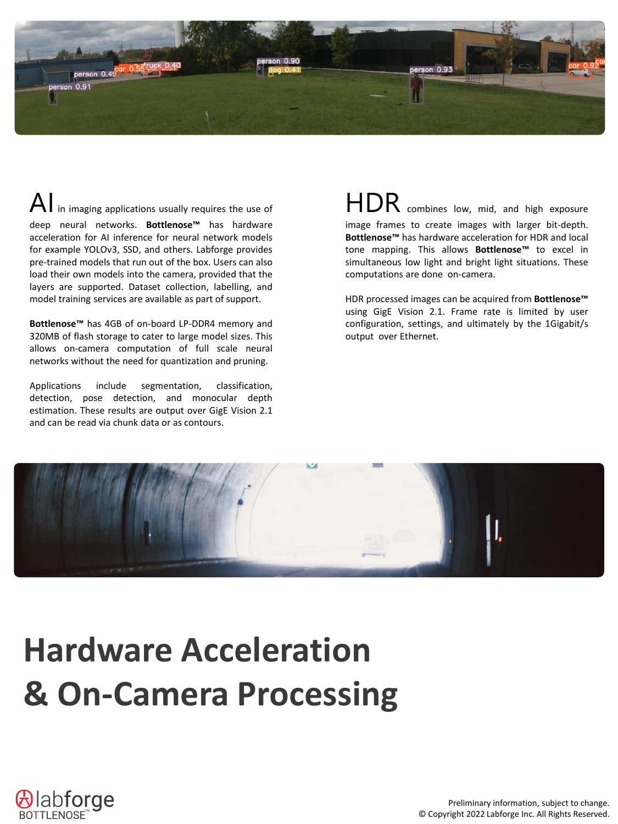

 $\mathsf{A}\hspace{0.2mm}\vert$  in imaging applications usually requires the use of deep neural networks. **Bottlenose™** has hardware acceleration for AI inference for neural network models for example YOLOv3, SSD, and others. Labforge provides pre-trained models that run out of the box. Users can also load their own models into the camera, provided that the layers are supported. Dataset collection, labelling, and model training services are available as part of support.

**Bottlenose™** has 4GB of on-board LP-DDR4 memory and 320MB of flash storage to cater to large model sizes. This allows on-camera computation of full scale neural networks without the need for quantization and pruning.

Applications include segmentation, classification, detection, pose detection, and monocular depth estimation. These results are output over GigE Vision 2.1 and can be read via chunk data or as contours.

HDR combines low, mid, and high exposure image frames to create images with larger bit-depth. **Bottlenose™** has hardware acceleration for HDR and local tone mapping. This allows **Bottlenose™** to excel in simultaneous low light and bright light situations. These computations are done on-camera.

HDR processed images can be acquired from **Bottlenose™** using GigE Vision 2.1. Frame rate is limited by user configuration, settings, and ultimately by the 1Gigabit/s output over Ethernet.



# **Hardware Acceleration & On-Camera Processing**

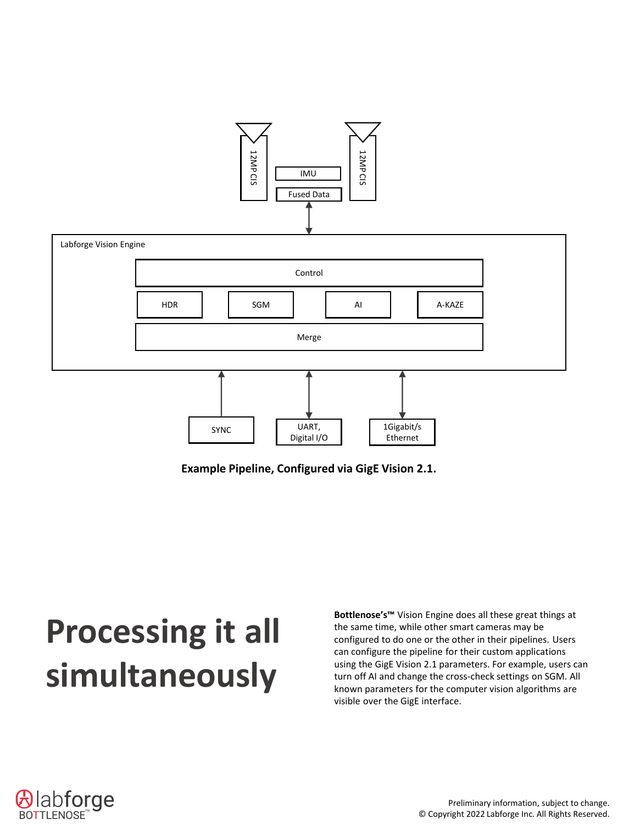

**Example Pipeline, Configured via GigE Vision 2.1.**

# **Processing it all simultaneously**

**Bottlenose's™** Vision Engine does all these great things at the same time, while other smart cameras may be configured to do one or the other in their pipelines. Users can configure the pipeline for their custom applications using the GigE Vision 2.1 parameters. For example, users can turn off AI and change the cross-check settings on SGM. All known parameters for the computer vision algorithms are visible over the GigE interface.

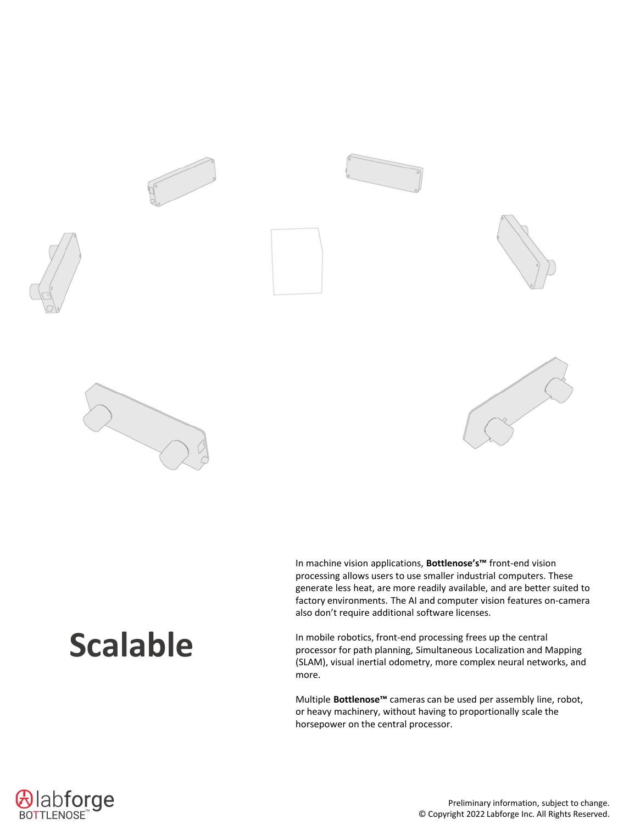

# **Scalable**

In machine vision applications, **Bottlenose's™** front-end vision processing allows users to use smaller industrial computers. These generate less heat, are more readily available, and are better suited to factory environments. The AI and computer vision features on-camera also don't require additional software licenses.

In mobile robotics, front-end processing frees up the central processor for path planning, Simultaneous Localization and Mapping (SLAM), visual inertial odometry, more complex neural networks, and more.

Multiple **Bottlenose™** cameras can be used per assembly line, robot, or heavy machinery, without having to proportionally scale the horsepower on the central processor.

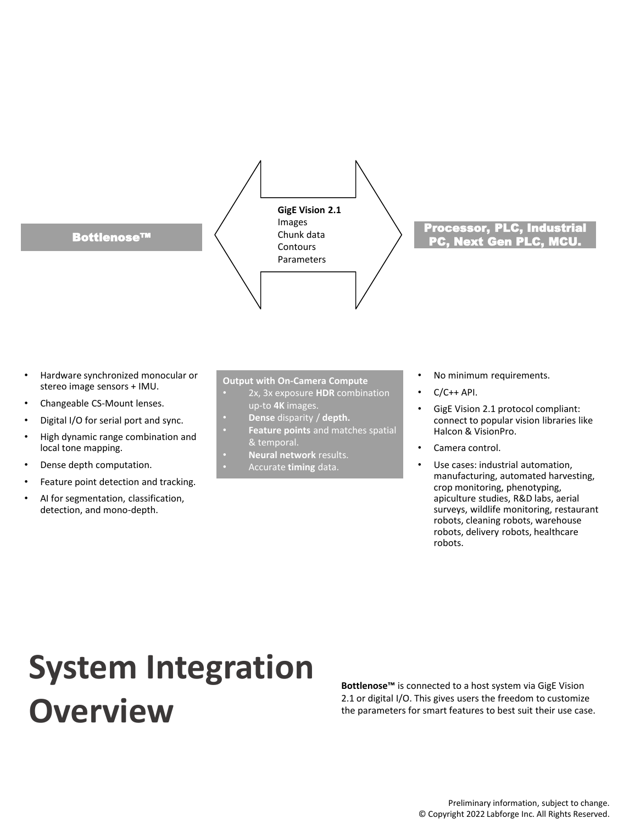

- Hardware synchronized monocular or stereo image sensors + IMU.
- Changeable CS-Mount lenses.
- Digital I/O for serial port and sync.
- High dynamic range combination and local tone mapping.
- Dense depth computation.
- Feature point detection and tracking.
- AI for segmentation, classification, detection, and mono-depth.

### **Output with On-Camera Compute**

- 2x, 3x exposure **HDR** combination up-to **4K** images.
- **Dense** disparity / **depth.**
- **Feature points** and matches spatial & temporal.
- **Neural network** results.
- Accurate **timing** data.
- No minimum requirements.
- $\cdot$  C/C++ API.
- GigE Vision 2.1 protocol compliant: connect to popular vision libraries like Halcon & VisionPro.
- Camera control.
- Use cases: industrial automation, manufacturing, automated harvesting, crop monitoring, phenotyping, apiculture studies, R&D labs, aerial surveys, wildlife monitoring, restaurant robots, cleaning robots, warehouse robots, delivery robots, healthcare robots.

# **System Integration Overview**

**Bottlenose™** is connected to a host system via GigE Vision 2.1 or digital I/O. This gives users the freedom to customize the parameters for smart features to best suit their use case.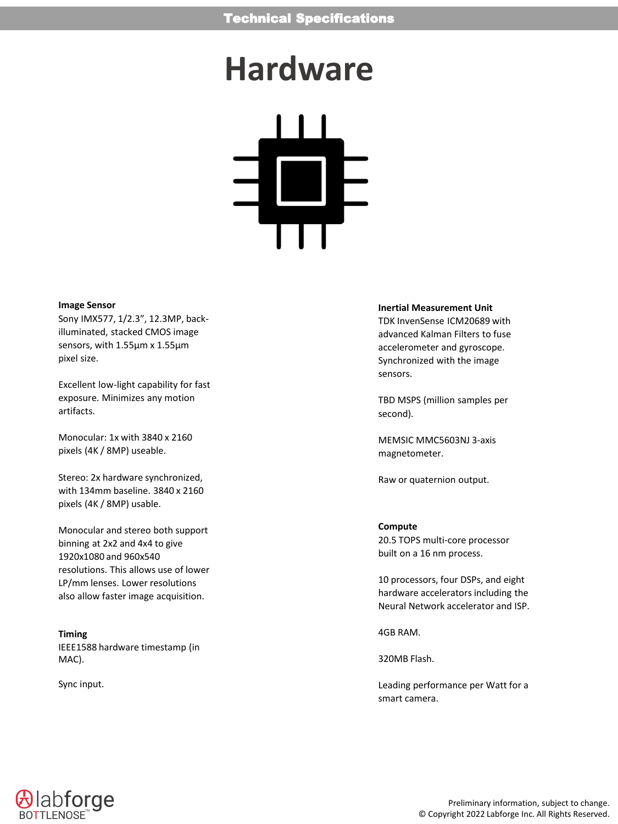# **Hardware**



### **Image Sensor**

Sony IMX577, 1/2.3", 12.3MP, backilluminated, stacked CMOS image sensors, with 1.55μm x 1.55μm pixel size.

Excellent low-light capability for fast exposure. Minimizes any motion artifacts.

Monocular: 1x with 3840 x 2160 pixels (4K / 8MP) useable.

Stereo: 2x hardware synchronized, with 134mm baseline. 3840 x 2160 pixels (4K / 8MP) usable.

Monocular and stereo both support binning at 2x2 and 4x4 to give 1920x1080 and 960x540 resolutions. This allows use of lower LP/mm lenses. Lower resolutions also allow faster image acquisition.

**Timing** IEEE1588 hardware timestamp (in MAC).

Sync input.

### **Inertial Measurement Unit**

TDK InvenSense ICM20689 with advanced Kalman Filters to fuse accelerometer and gyroscope. Synchronized with the image sensors.

TBD MSPS (million samples per second).

MEMSIC MMC5603NJ 3-axis magnetometer.

Raw or quaternion output.

### **Compute**

20.5 TOPS multi-core processor built on a 16 nm process.

10 processors, four DSPs, and eight hardware accelerators including the Neural Network accelerator and ISP.

4GB RAM.

320MB Flash.

Leading performance per Watt for a smart camera.

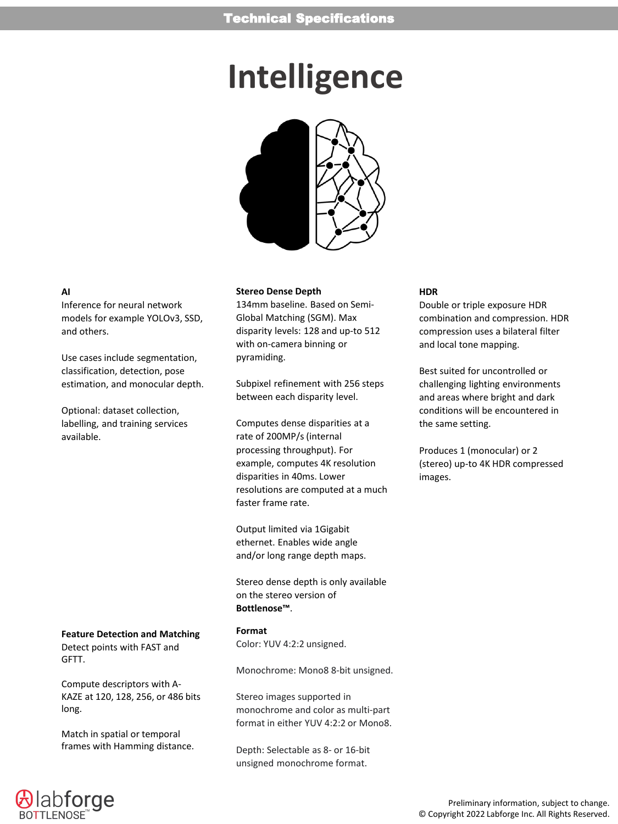# **Intelligence**



### **AI**

Inference for neural network models for example YOLOv3, SSD, and others.

Use cases include segmentation, classification, detection, pose estimation, and monocular depth.

Optional: dataset collection, labelling, and training services available.

### **Feature Detection and Matching**

Detect points with FAST and GFTT.

Compute descriptors with A-KAZE at 120, 128, 256, or 486 bits long.

Match in spatial or temporal frames with Hamming distance.

### **Stereo Dense Depth**

134mm baseline. Based on Semi-Global Matching (SGM). Max disparity levels: 128 and up-to 512 with on-camera binning or pyramiding.

Subpixel refinement with 256 steps between each disparity level.

Computes dense disparities at a rate of 200MP/s (internal processing throughput). For example, computes 4K resolution disparities in 40ms. Lower resolutions are computed at a much faster frame rate.

Output limited via 1Gigabit ethernet. Enables wide angle and/or long range depth maps.

Stereo dense depth is only available on the stereo version of **Bottlenose™**.

**Format** Color: YUV 4:2:2 unsigned.

Monochrome: Mono8 8-bit unsigned.

Stereo images supported in monochrome and color as multi-part format in either YUV 4:2:2 or Mono8.

Depth: Selectable as 8- or 16-bit unsigned monochrome format.

### **HDR**

Double or triple exposure HDR combination and compression. HDR compression uses a bilateral filter and local tone mapping.

Best suited for uncontrolled or challenging lighting environments and areas where bright and dark conditions will be encountered in the same setting.

Produces 1 (monocular) or 2 (stereo) up-to 4K HDR compressed images.

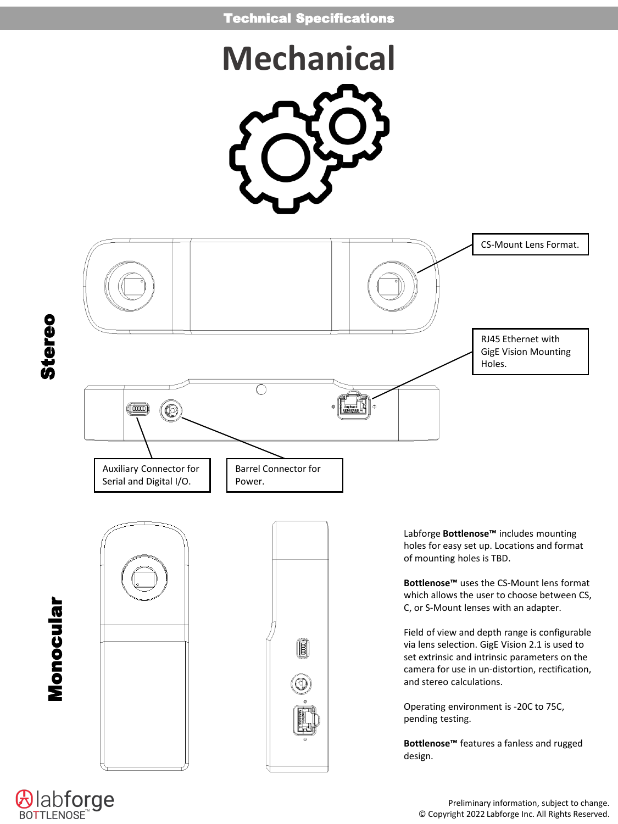# **Mechanical**



**Alabforge**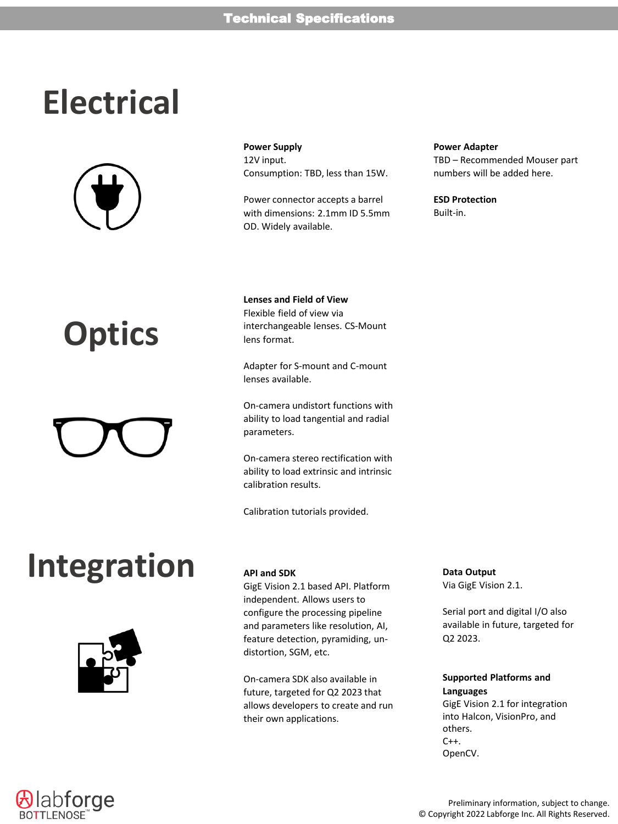# **Electrical**



# **Optics**

# **Integration**



**Power Supply** 12V input. Consumption: TBD, less than 15W.

Power connector accepts a barrel with dimensions: 2.1mm ID 5.5mm OD. Widely available.

### **Lenses and Field of View** Flexible field of view via interchangeable lenses. CS-Mount lens format.

Adapter for S-mount and C-mount lenses available.

On-camera undistort functions with ability to load tangential and radial parameters.

On-camera stereo rectification with ability to load extrinsic and intrinsic calibration results.

Calibration tutorials provided.

### **API and SDK**

GigE Vision 2.1 based API. Platform independent. Allows users to configure the processing pipeline and parameters like resolution, AI, feature detection, pyramiding, undistortion, SGM, etc.

On-camera SDK also available in future, targeted for Q2 2023 that allows developers to create and run their own applications.

### **Power Adapter**

TBD – Recommended Mouser part numbers will be added here.

**ESD Protection** Built-in.

**Data Output**

Via GigE Vision 2.1.

Serial port and digital I/O also available in future, targeted for Q2 2023.

### **Supported Platforms and Languages**

GigE Vision 2.1 for integration into Halcon, VisionPro, and others.  $C++$ . OpenCV.



Preliminary information, subject to change. © Copyright 2022 Labforge Inc. All Rights Reserved.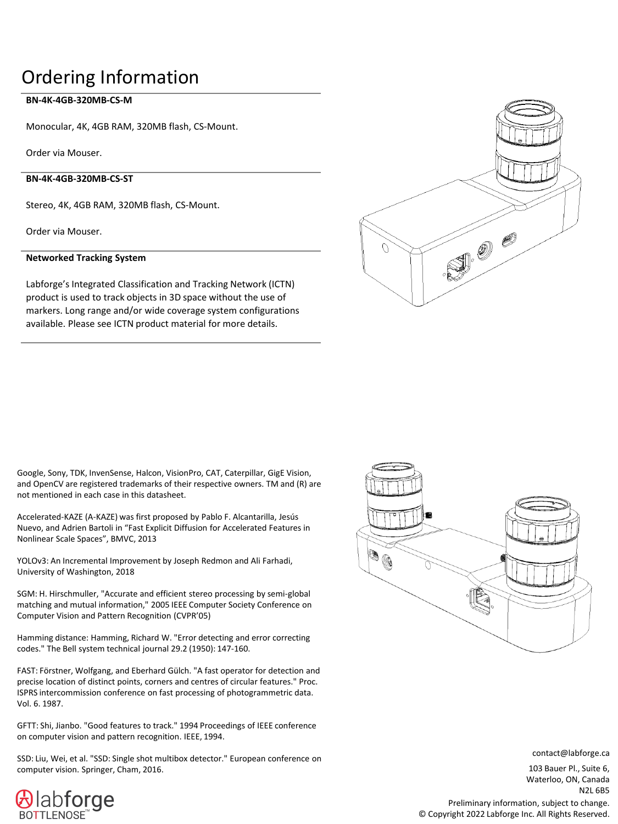### Ordering Information

### **BN-4K-4GB-320MB-CS-M**

Monocular, 4K, 4GB RAM, 320MB flash, CS-Mount.

Order via Mouser.

### **BN-4K-4GB-320MB-CS-ST**

Stereo, 4K, 4GB RAM, 320MB flash, CS-Mount.

Order via Mouser.

### **Networked Tracking System**

Labforge's Integrated Classification and Tracking Network (ICTN) product is used to track objects in 3D space without the use of markers. Long range and/or wide coverage system configurations available. Please see ICTN product material for more details.



Google, Sony, TDK, InvenSense, Halcon, VisionPro, CAT, Caterpillar, GigE Vision, and OpenCV are registered trademarks of their respective owners. TM and (R) are not mentioned in each case in this datasheet.

Accelerated-KAZE (A-KAZE) was first proposed by Pablo F. Alcantarilla, Jesús Nuevo, and Adrien Bartoli in "Fast Explicit Diffusion for Accelerated Features in Nonlinear Scale Spaces", BMVC, 2013

YOLOv3: An Incremental Improvement by Joseph Redmon and Ali Farhadi, University of Washington, 2018

SGM: H. Hirschmuller, "Accurate and efficient stereo processing by semi-global matching and mutual information," 2005 IEEE Computer Society Conference on Computer Vision and Pattern Recognition (CVPR'05)

Hamming distance: Hamming, Richard W. "Error detecting and error correcting codes." The Bell system technical journal 29.2 (1950): 147-160.

FAST: Förstner, Wolfgang, and Eberhard Gülch. "A fast operator for detection and precise location of distinct points, corners and centres of circular features." Proc. ISPRS intercommission conference on fast processing of photogrammetric data. Vol. 6. 1987.

GFTT: Shi, Jianbo. "Good features to track." 1994 Proceedings of IEEE conference on computer vision and pattern recognition. IEEE, 1994.

SSD: Liu, Wei, et al. "SSD: Single shot multibox detector." European conference on computer vision. Springer, Cham, 2016.

labforge



contact@labforge.ca

103 Bauer Pl., Suite 6, Waterloo, ON, Canada N2L 6B5

Preliminary information, subject to change. © Copyright 2022 Labforge Inc. All Rights Reserved.